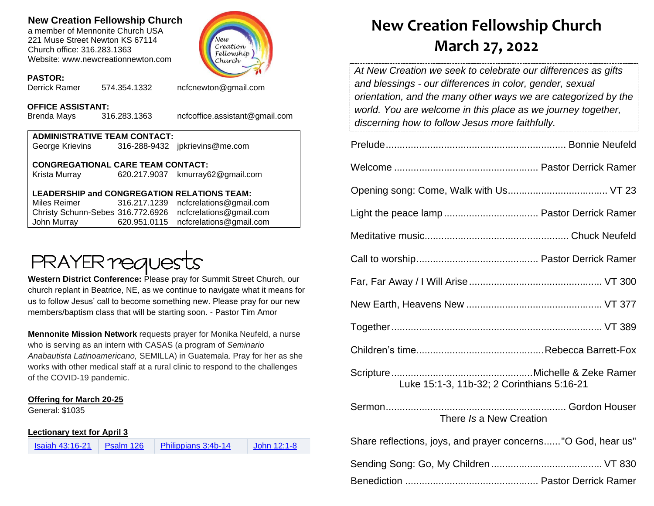### **New Creation Fellowship Church**

a member of Mennonite Church USA 221 Muse Street Newton KS 67114 Church office: 316.283.1363 Website: www.newcreationnewton.com



## **PASTOR:**

574.354.1332 [ncfcnewton@gmail.com](mailto:ncfcnewton@gmail.com)

## **OFFICE ASSISTANT:**<br>Brenda Mavs 316.283.1363

Brenda Mays 316.283.1363 ncfcoffice.assistant@gmail.com

| <b>ADMINISTRATIVE TEAM CONTACT:</b><br>George Krievins 316-288-9432 jpkrievins@me.com                   |  |                                                                                                                                                                                                                                                                                                                                 |  |  |  |
|---------------------------------------------------------------------------------------------------------|--|---------------------------------------------------------------------------------------------------------------------------------------------------------------------------------------------------------------------------------------------------------------------------------------------------------------------------------|--|--|--|
| <b>CONGREGATIONAL CARE TEAM CONTACT:</b><br>Krista Murray<br>620.217.9037 kmurray62@gmail.com           |  |                                                                                                                                                                                                                                                                                                                                 |  |  |  |
| <b>LEADERSHIP and CONGREGATION RELATIONS TEAM:</b><br>Miles Reimer 316.217.1239 ncfcrelations@gmail.com |  |                                                                                                                                                                                                                                                                                                                                 |  |  |  |
|                                                                                                         |  | $\mathcal{O}$ , $\mathcal{O}$ , $\mathcal{O}$ , $\mathcal{O}$ , $\mathcal{O}$ , $\mathcal{O}$ , $\mathcal{O}$ , $\mathcal{O}$ , $\mathcal{O}$ , $\mathcal{O}$ , $\mathcal{O}$ , $\mathcal{O}$ , $\mathcal{O}$ , $\mathcal{O}$ , $\mathcal{O}$ , $\mathcal{O}$ , $\mathcal{O}$ , $\mathcal{O}$ , $\mathcal{O}$ , $\mathcal{O}$ , |  |  |  |

Christy Schunn-Sebes 316.772.6926 [ncfcrelations@gmail.com](mailto:ncfcrelations@gmail.com) John Murray 620.951.0115 [ncfcrelations@gmail.com](mailto:ncfcrelations@gmail.com)

# **PRAYER requests**

**Western District Conference:** Please pray for Summit Street Church, our church replant in Beatrice, NE, as we continue to navigate what it means for us to follow Jesus' call to become something new. Please pray for our new members/baptism class that will be starting soon. - Pastor Tim Amor

**Mennonite Mission Network** requests prayer for Monika Neufeld, a nurse who is serving as an intern with CASAS (a program of *Seminario Anabautista Latinoamericano,* SEMILLA) in Guatemala. Pray for her as she works with other medical staff at a rural clinic to respond to the challenges of the COVID-19 pandemic.

#### **Offering for March 20-25**

General: \$1035

**Lectionary text for April 3**

| <b>Isaiah 43:16-21</b> | Psalm 126 | Philippians 3:4b-14 | John 12:1-8 |
|------------------------|-----------|---------------------|-------------|
|------------------------|-----------|---------------------|-------------|

## **New Creation Fellowship Church March 27, 2022**

*At New Creation we seek to celebrate our differences as gifts and blessings - our differences in color, gender, sexual orientation, and the many other ways we are categorized by the world. You are welcome in this place as we journey together, discerning how to follow Jesus more faithfully.*

| Luke 15:1-3, 11b-32; 2 Corinthians 5:16-21                    |  |
|---------------------------------------------------------------|--|
| There Is a New Creation                                       |  |
| Share reflections, joys, and prayer concerns "O God, hear us" |  |
|                                                               |  |
|                                                               |  |